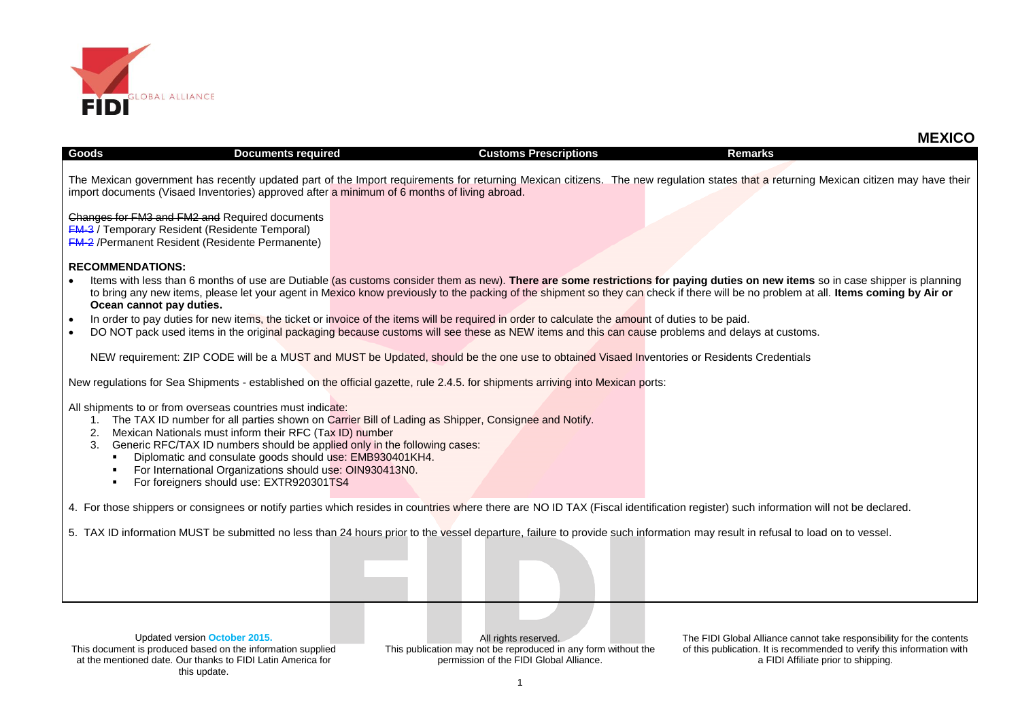

| Goods<br><b>Documents required</b>                                                                                                                                                                                                                                                                                                                                                                   | <b>Customs Prescriptions</b>                                                                                                                                                       | <b>Remarks</b>                                                                                                                                                                                                                                                                                                                                                        |
|------------------------------------------------------------------------------------------------------------------------------------------------------------------------------------------------------------------------------------------------------------------------------------------------------------------------------------------------------------------------------------------------------|------------------------------------------------------------------------------------------------------------------------------------------------------------------------------------|-----------------------------------------------------------------------------------------------------------------------------------------------------------------------------------------------------------------------------------------------------------------------------------------------------------------------------------------------------------------------|
| import documents (Visaed Inventories) approved after a minimum of 6 months of living abroad.                                                                                                                                                                                                                                                                                                         |                                                                                                                                                                                    | The Mexican government has recently updated part of the Import requirements for returning Mexican citizens. The new regulation states that a returning Mexican citizen may have their                                                                                                                                                                                 |
| Changes for FM3 and FM2 and Required documents<br><b>FM-3</b> / Temporary Resident (Residente Temporal)<br><b>FM-2</b> /Permanent Resident (Residente Permanente)                                                                                                                                                                                                                                    |                                                                                                                                                                                    |                                                                                                                                                                                                                                                                                                                                                                       |
| <b>RECOMMENDATIONS:</b>                                                                                                                                                                                                                                                                                                                                                                              |                                                                                                                                                                                    |                                                                                                                                                                                                                                                                                                                                                                       |
| Ocean cannot pay duties.                                                                                                                                                                                                                                                                                                                                                                             |                                                                                                                                                                                    | Items with less than 6 months of use are Dutiable (as customs consider them as new). There are some restrictions for paying duties on new items so in case shipper is planning<br>to bring any new items, please let your agent in Mexico know previously to the packing of the shipment so they can check if there will be no problem at all. Items coming by Air or |
|                                                                                                                                                                                                                                                                                                                                                                                                      | In order to pay duties for new items, the ticket or invoice of the items will be required in order to calculate the amount of duties to be paid.                                   |                                                                                                                                                                                                                                                                                                                                                                       |
|                                                                                                                                                                                                                                                                                                                                                                                                      | DO NOT pack used items in the original packaging because customs will see these as NEW items and this can cause problems and delays at customs.                                    |                                                                                                                                                                                                                                                                                                                                                                       |
|                                                                                                                                                                                                                                                                                                                                                                                                      | NEW requirement: ZIP CODE will be a MUST and MUST be Updated, should be the one use to obtained Visaed Inventories or Residents Credentials                                        |                                                                                                                                                                                                                                                                                                                                                                       |
|                                                                                                                                                                                                                                                                                                                                                                                                      | New regulations for Sea Shipments - established on the official gazette, rule 2.4.5. for shipments arriving into Mexican ports:                                                    |                                                                                                                                                                                                                                                                                                                                                                       |
| All shipments to or from overseas countries must indicate:<br>Mexican Nationals must inform their RFC (Tax ID) number<br>2.<br>Generic RFC/TAX ID numbers should be applied only in the following cases:<br>3.<br>Diplomatic and consulate goods should use: EMB930401KH4.<br>$\blacksquare$<br>For International Organizations should use: OIN930413N0.<br>For foreigners should use: EXTR920301TS4 | 1. The TAX ID number for all parties shown on Carrier Bill of Lading as Shipper, Consignee and Notify.                                                                             |                                                                                                                                                                                                                                                                                                                                                                       |
|                                                                                                                                                                                                                                                                                                                                                                                                      | 4. For those shippers or consignees or notify parties which resides in countries where there are NO ID TAX (Fiscal identification register) such information will not be declared. |                                                                                                                                                                                                                                                                                                                                                                       |
|                                                                                                                                                                                                                                                                                                                                                                                                      | 5. TAX ID information MUST be submitted no less than 24 hours prior to the vessel departure, failure to provide such information may result in refusal to load on to vessel.       |                                                                                                                                                                                                                                                                                                                                                                       |
|                                                                                                                                                                                                                                                                                                                                                                                                      |                                                                                                                                                                                    |                                                                                                                                                                                                                                                                                                                                                                       |

All rights reserved. This publication may not be reproduced in any form without the permission of the FIDI Global Alliance.

The FIDI Global Alliance cannot take responsibility for the contents of this publication. It is recommended to verify this information with a FIDI Affiliate prior to shipping.

 **MEXICO**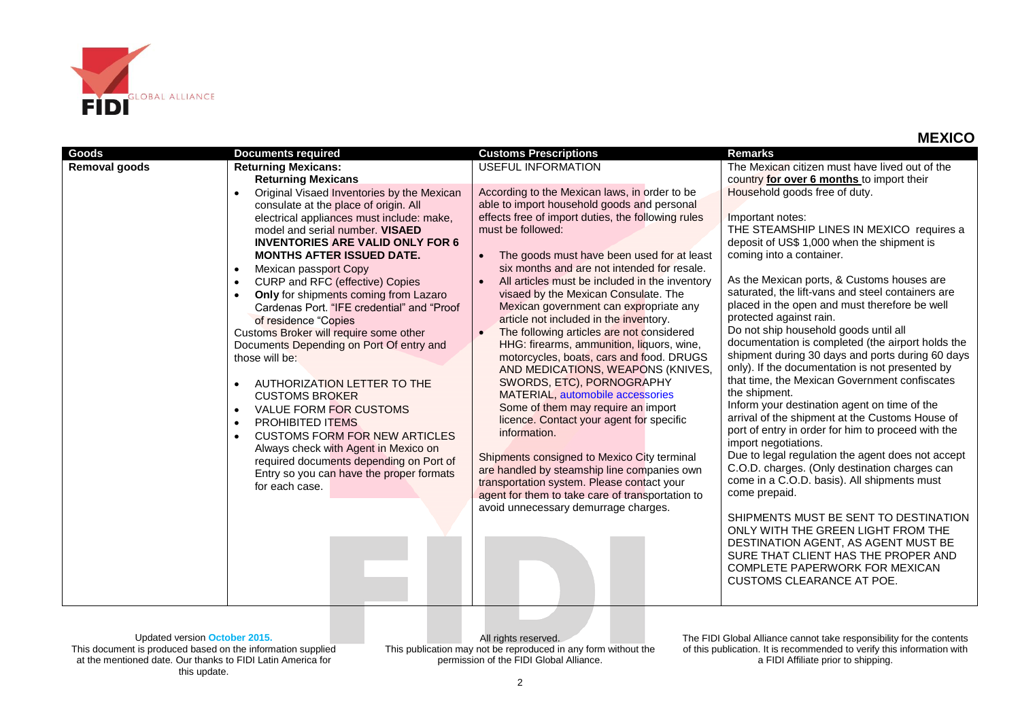

| <b>Goods</b>         | <b>Documents required</b>                                                                          | <b>Customs Prescriptions</b>                                                                  | <b>Remarks</b>                                                                                        |
|----------------------|----------------------------------------------------------------------------------------------------|-----------------------------------------------------------------------------------------------|-------------------------------------------------------------------------------------------------------|
| <b>Removal goods</b> | <b>Returning Mexicans:</b>                                                                         | <b>USEFUL INFORMATION</b>                                                                     | The Mexican citizen must have lived out of the                                                        |
|                      | <b>Returning Mexicans</b>                                                                          |                                                                                               | country for over 6 months to import their                                                             |
|                      | Original Visaed Inventories by the Mexican<br>$\bullet$<br>consulate at the place of origin. All   | According to the Mexican laws, in order to be<br>able to import household goods and personal  | Household goods free of duty.                                                                         |
|                      | electrical appliances must include: make,                                                          | effects free of import duties, the following rules                                            | Important notes:                                                                                      |
|                      | model and serial number. VISAED                                                                    | must be followed:                                                                             | THE STEAMSHIP LINES IN MEXICO requires a                                                              |
|                      | <b>INVENTORIES ARE VALID ONLY FOR 6</b>                                                            |                                                                                               | deposit of US\$ 1,000 when the shipment is                                                            |
|                      | <b>MONTHS AFTER ISSUED DATE.</b>                                                                   | The goods must have been used for at least                                                    | coming into a container.                                                                              |
|                      | Mexican passport Copy<br>$\bullet$                                                                 | six months and are not intended for resale.<br>All articles must be included in the inventory | As the Mexican ports, & Customs houses are                                                            |
|                      | CURP and RFC (effective) Copies<br>$\bullet$<br>Only for shipments coming from Lazaro<br>$\bullet$ | visaed by the Mexican Consulate. The                                                          | saturated, the lift-vans and steel containers are                                                     |
|                      | Cardenas Port. "IFE credential" and "Proof                                                         | Mexican government can expropriate any                                                        | placed in the open and must therefore be well                                                         |
|                      | of residence "Copies                                                                               | article not included in the inventory.                                                        | protected against rain.                                                                               |
|                      | Customs Broker will require some other                                                             | The following articles are not considered                                                     | Do not ship household goods until all                                                                 |
|                      | Documents Depending on Port Of entry and                                                           | HHG: firearms, ammunition, liquors, wine,                                                     | documentation is completed (the airport holds the<br>shipment during 30 days and ports during 60 days |
|                      | those will be:                                                                                     | motorcycles, boats, cars and food. DRUGS<br>AND MEDICATIONS, WEAPONS (KNIVES,                 | only). If the documentation is not presented by                                                       |
|                      | AUTHORIZATION LETTER TO THE<br>$\bullet$                                                           | SWORDS, ETC), PORNOGRAPHY                                                                     | that time, the Mexican Government confiscates                                                         |
|                      | <b>CUSTOMS BROKER</b>                                                                              | MATERIAL, automobile accessories                                                              | the shipment.                                                                                         |
|                      | <b>VALUE FORM FOR CUSTOMS</b><br>$\bullet$                                                         | Some of them may require an import                                                            | Inform your destination agent on time of the                                                          |
|                      | PROHIBITED ITEMS<br>$\bullet$                                                                      | licence. Contact your agent for specific                                                      | arrival of the shipment at the Customs House of<br>port of entry in order for him to proceed with the |
|                      | <b>CUSTOMS FORM FOR NEW ARTICLES</b><br>$\bullet$                                                  | information.                                                                                  | import negotiations.                                                                                  |
|                      | Always check with Agent in Mexico on<br>required documents depending on Port of                    | Shipments consigned to Mexico City terminal                                                   | Due to legal regulation the agent does not accept                                                     |
|                      | Entry so you can have the proper formats                                                           | are handled by steamship line companies own                                                   | C.O.D. charges. (Only destination charges can                                                         |
|                      | for each case.                                                                                     | transportation system. Please contact your                                                    | come in a C.O.D. basis). All shipments must                                                           |
|                      |                                                                                                    | agent for them to take care of transportation to                                              | come prepaid.                                                                                         |
|                      |                                                                                                    | avoid unnecessary demurrage charges.                                                          | SHIPMENTS MUST BE SENT TO DESTINATION                                                                 |
|                      |                                                                                                    |                                                                                               | ONLY WITH THE GREEN LIGHT FROM THE                                                                    |
|                      |                                                                                                    |                                                                                               | DESTINATION AGENT, AS AGENT MUST BE                                                                   |
|                      |                                                                                                    |                                                                                               | SURE THAT CLIENT HAS THE PROPER AND                                                                   |
|                      |                                                                                                    |                                                                                               | COMPLETE PAPERWORK FOR MEXICAN<br>CUSTOMS CLEARANCE AT POE.                                           |
|                      |                                                                                                    |                                                                                               |                                                                                                       |
|                      |                                                                                                    |                                                                                               |                                                                                                       |

Updated version **October 2015.** This document is produced based on the information supplied at the mentioned date. Our thanks to FIDI Latin America for this update.

All rights reserved. This publication may not be reproduced in any form without the permission of the FIDI Global Alliance.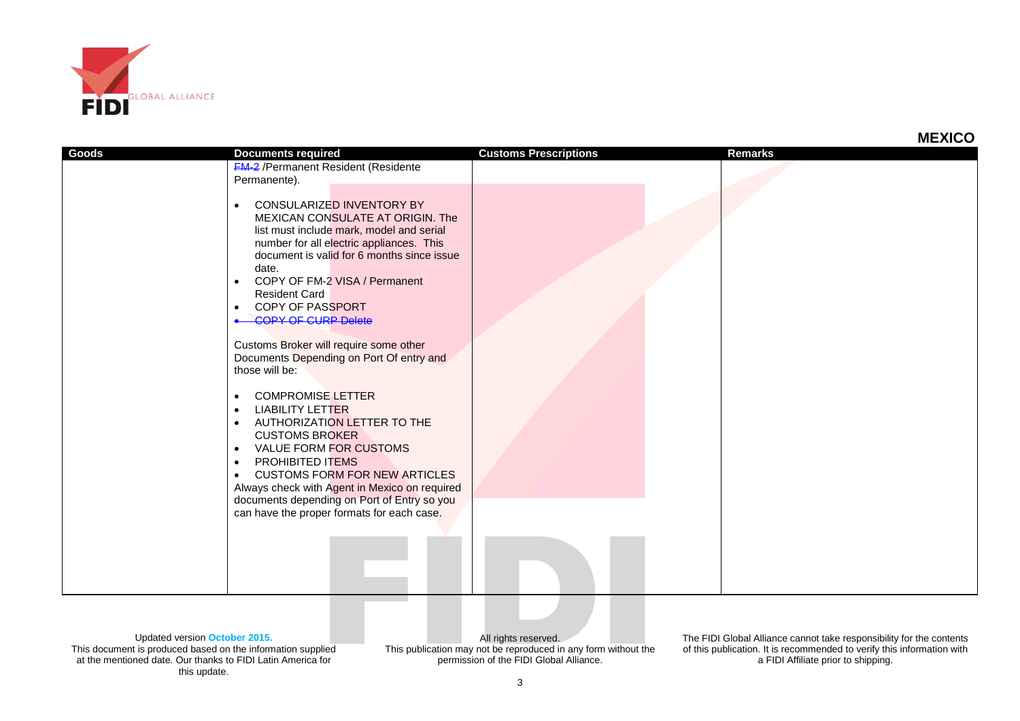

| Goods | <b>Documents required</b><br><b>FM-2</b> / Permanent Resident (Residente<br>Permanente).<br>CONSULARIZED INVENTORY BY<br>$\bullet$<br>MEXICAN CONSULATE AT ORIGIN. The<br>list must include mark, model and serial<br>number for all electric appliances. This<br>document is valid for 6 months since issue<br>date.<br>COPY OF FM-2 VISA / Permanent<br>$\bullet$<br><b>Resident Card</b><br>COPY OF PASSPORT<br>$\bullet$<br><b>COPY OF CURP Delete</b><br>Customs Broker will require some other<br>Documents Depending on Port Of entry and<br>those will be:<br><b>COMPROMISE LETTER</b><br><b>LIABILITY LETTER</b><br>$\bullet$<br>AUTHORIZATION LETTER TO THE<br>$\bullet$<br><b>CUSTOMS BROKER</b><br><b>VALUE FORM FOR CUSTOMS</b><br>$\bullet$<br>PROHIBITED ITEMS<br>$\bullet$<br><b>CUSTOMS FORM FOR NEW ARTICLES</b><br>$\bullet$<br>Always check with Agent in Mexico on required<br>documents depending on Port of Entry so you<br>can have the proper formats for each case. | <b>Customs Prescriptions</b> | <b>Remarks</b> |  |
|-------|-----------------------------------------------------------------------------------------------------------------------------------------------------------------------------------------------------------------------------------------------------------------------------------------------------------------------------------------------------------------------------------------------------------------------------------------------------------------------------------------------------------------------------------------------------------------------------------------------------------------------------------------------------------------------------------------------------------------------------------------------------------------------------------------------------------------------------------------------------------------------------------------------------------------------------------------------------------------------------------------------|------------------------------|----------------|--|
|       |                                                                                                                                                                                                                                                                                                                                                                                                                                                                                                                                                                                                                                                                                                                                                                                                                                                                                                                                                                                               |                              |                |  |

Updated version **October 2015.** This document is produced based on the information supplied at the mentioned date. Our thanks to FIDI Latin America for this update.

All rights reserved. This publication may not be reproduced in any form without the permission of the FIDI Global Alliance.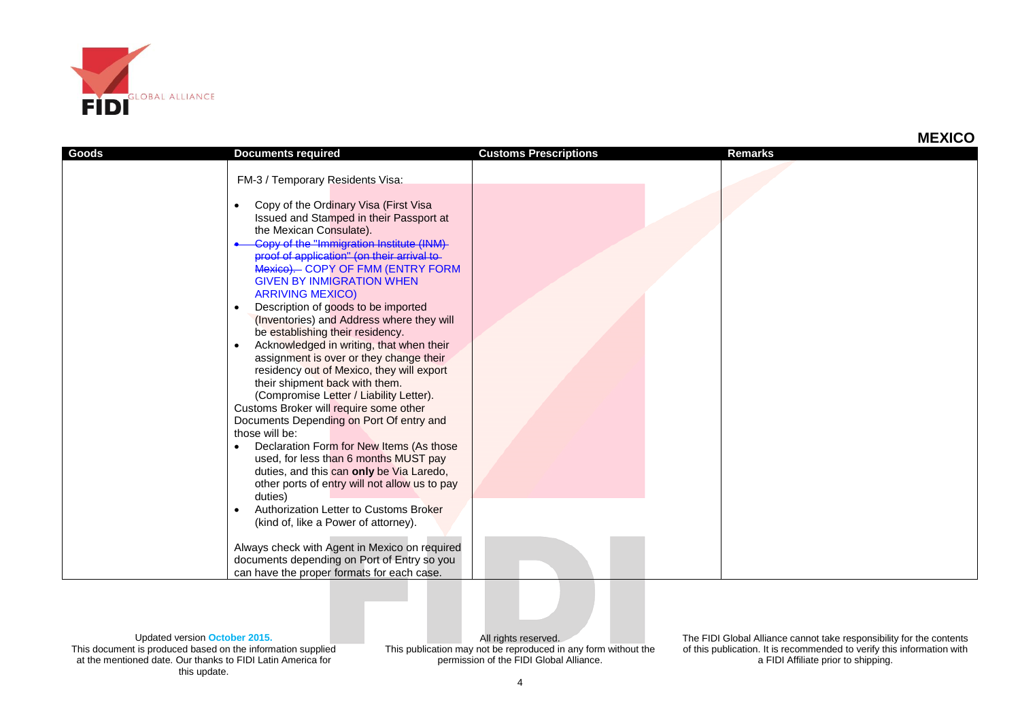

|       |                                                                                                                                                                                                                                                                                                                                                                                                                                                                                                                                                                                                                                                                                                                                                                                                                                                                                                                                                                                 |                              | MLYIV          |
|-------|---------------------------------------------------------------------------------------------------------------------------------------------------------------------------------------------------------------------------------------------------------------------------------------------------------------------------------------------------------------------------------------------------------------------------------------------------------------------------------------------------------------------------------------------------------------------------------------------------------------------------------------------------------------------------------------------------------------------------------------------------------------------------------------------------------------------------------------------------------------------------------------------------------------------------------------------------------------------------------|------------------------------|----------------|
| Goods | <b>Documents required</b>                                                                                                                                                                                                                                                                                                                                                                                                                                                                                                                                                                                                                                                                                                                                                                                                                                                                                                                                                       | <b>Customs Prescriptions</b> | <b>Remarks</b> |
|       |                                                                                                                                                                                                                                                                                                                                                                                                                                                                                                                                                                                                                                                                                                                                                                                                                                                                                                                                                                                 |                              |                |
|       |                                                                                                                                                                                                                                                                                                                                                                                                                                                                                                                                                                                                                                                                                                                                                                                                                                                                                                                                                                                 |                              |                |
|       | FM-3 / Temporary Residents Visa:<br>Copy of the Ordinary Visa (First Visa<br>Issued and Stamped in their Passport at<br>the Mexican Consulate).<br>Copy of the "Immigration Institute (INM)<br>proof of application" (on their arrival to<br>Mexico). COPY OF FMM (ENTRY FORM<br><b>GIVEN BY INMIGRATION WHEN</b><br><b>ARRIVING MEXICO)</b><br>Description of goods to be imported<br>(Inventories) and Address where they will<br>be establishing their residency.<br>Acknowledged in writing, that when their<br>assignment is over or they change their<br>residency out of Mexico, they will export<br>their shipment back with them.<br>(Compromise Letter / Liability Letter).<br>Customs Broker will require some other<br>Documents Depending on Port Of entry and<br>those will be:<br>Declaration Form for New Items (As those<br>used, for less than 6 months MUST pay<br>duties, and this can only be Via Laredo,<br>other ports of entry will not allow us to pay |                              |                |
|       | duties)<br>Authorization Letter to Customs Broker<br>(kind of, like a Power of attorney).                                                                                                                                                                                                                                                                                                                                                                                                                                                                                                                                                                                                                                                                                                                                                                                                                                                                                       |                              |                |
|       |                                                                                                                                                                                                                                                                                                                                                                                                                                                                                                                                                                                                                                                                                                                                                                                                                                                                                                                                                                                 |                              |                |
|       | Always check with Agent in Mexico on required<br>documents depending on Port of Entry so you<br>can have the proper formats for each case.                                                                                                                                                                                                                                                                                                                                                                                                                                                                                                                                                                                                                                                                                                                                                                                                                                      |                              |                |

Updated version **October 2015.** This document is produced based on the information supplied at the mentioned date. Our thanks to FIDI Latin America for this update.

All rights reserved. This publication may not be reproduced in any form without the permission of the FIDI Global Alliance.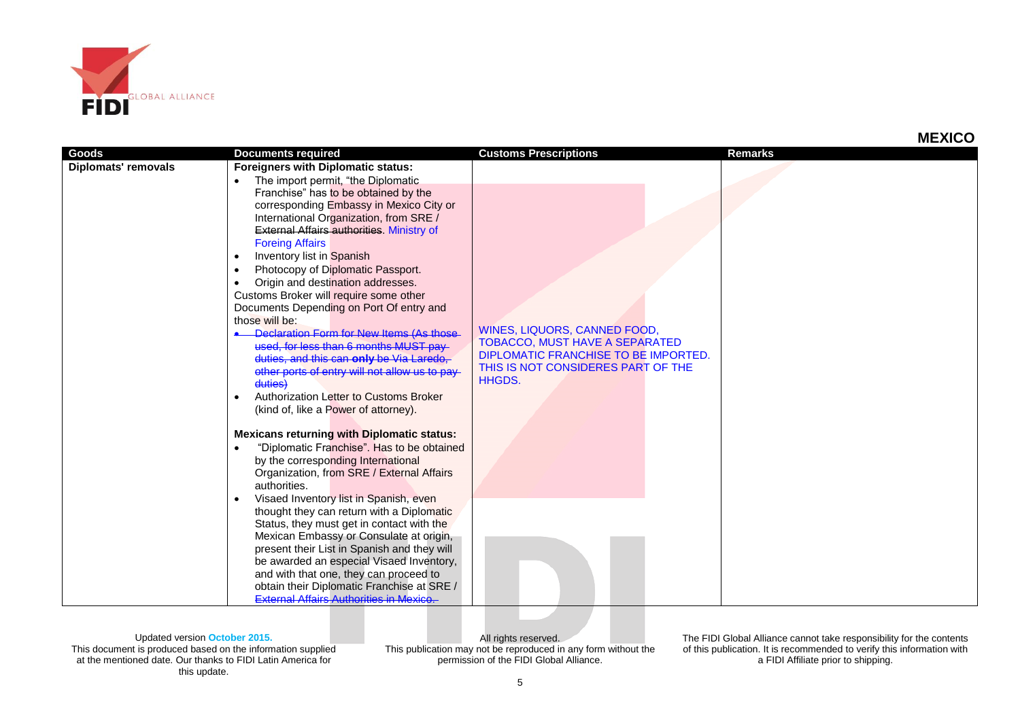

|                            |                                                                                                                                                                                                                                                                                                                                                                                                                                                                                                                                                                                                                                                                          |                                                                                                               | טטאבווו        |
|----------------------------|--------------------------------------------------------------------------------------------------------------------------------------------------------------------------------------------------------------------------------------------------------------------------------------------------------------------------------------------------------------------------------------------------------------------------------------------------------------------------------------------------------------------------------------------------------------------------------------------------------------------------------------------------------------------------|---------------------------------------------------------------------------------------------------------------|----------------|
| Goods                      |                                                                                                                                                                                                                                                                                                                                                                                                                                                                                                                                                                                                                                                                          | <b>Customs Prescriptions</b>                                                                                  | <b>Remarks</b> |
| <b>Diplomats' removals</b> | <b>Documents required</b><br><b>Foreigners with Diplomatic status:</b><br>The import permit, "the Diplomatic<br>Franchise" has to be obtained by the<br>corresponding Embassy in Mexico City or<br>International Organization, from SRE /<br><b>External Affairs authorities. Ministry of</b><br><b>Foreing Affairs</b><br>Inventory list in Spanish<br>Photocopy of Diplomatic Passport.<br>Origin and destination addresses.<br>Customs Broker will require some other<br>Documents Depending on Port Of entry and<br>those will be:<br>Declaration Form for New Items (As those<br>used, for less than 6 months MUST pay-<br>duties, and this can only be Via Laredo, | WINES, LIQUORS, CANNED FOOD,<br><b>TOBACCO, MUST HAVE A SEPARATED</b><br>DIPLOMATIC FRANCHISE TO BE IMPORTED. |                |
|                            | other ports of entry will not allow us to pay<br>duties)<br>Authorization Letter to Customs Broker<br>(kind of, like a Power of attorney).<br><b>Mexicans returning with Diplomatic status:</b><br>"Diplomatic Franchise". Has to be obtained<br>by the corresponding International<br>Organization, from SRE / External Affairs<br>authorities.<br>Visaed Inventory list in Spanish, even<br>thought they can return with a Diplomatic<br>Status, they must get in contact with the                                                                                                                                                                                     | THIS IS NOT CONSIDERES PART OF THE<br><b>HHGDS.</b>                                                           |                |
|                            | Mexican Embassy or Consulate at origin,<br>present their List in Spanish and they will<br>be awarded an especial Visaed Inventory,<br>and with that one, they can proceed to                                                                                                                                                                                                                                                                                                                                                                                                                                                                                             |                                                                                                               |                |
|                            | obtain their Diplomatic Franchise at SRE /<br><b>External Affairs Authorities in Mexico.</b>                                                                                                                                                                                                                                                                                                                                                                                                                                                                                                                                                                             |                                                                                                               |                |

Updated version **October 2015.** This document is produced based on the information supplied at the mentioned date. Our thanks to FIDI Latin America for this update.

All rights reserved. This publication may not be reproduced in any form without the permission of the FIDI Global Alliance.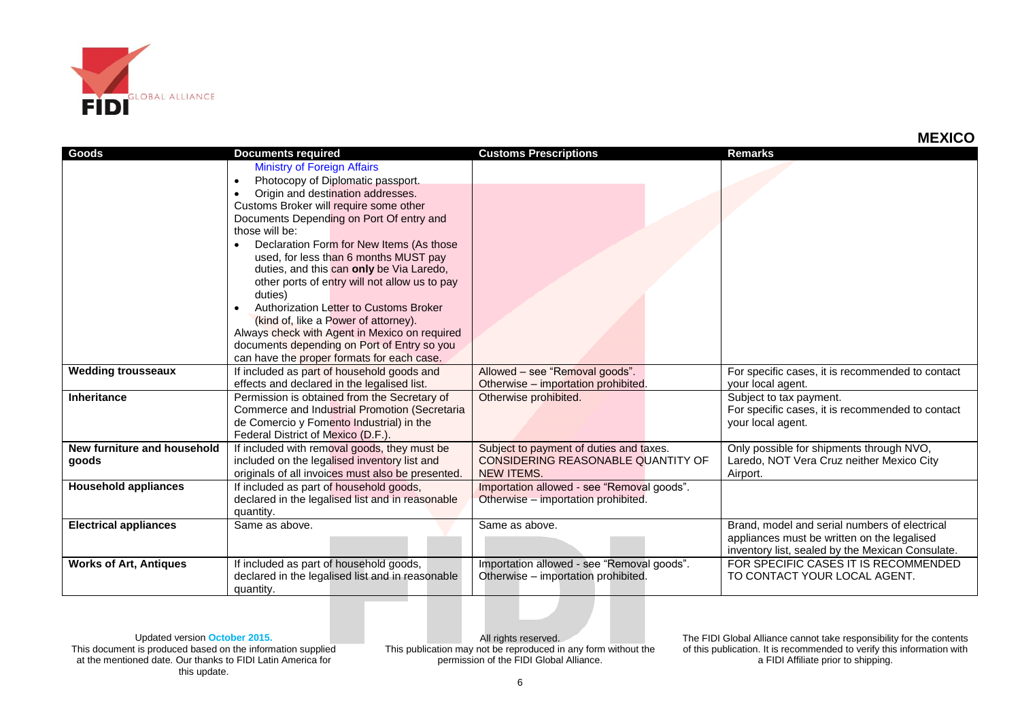

|                               |                                                   |                                            | טטאשוו                                           |
|-------------------------------|---------------------------------------------------|--------------------------------------------|--------------------------------------------------|
| Goods                         | <b>Documents required</b>                         | <b>Customs Prescriptions</b>               | <b>Remarks</b>                                   |
|                               | <b>Ministry of Foreign Affairs</b>                |                                            |                                                  |
|                               | Photocopy of Diplomatic passport.<br>$\bullet$    |                                            |                                                  |
|                               | Origin and destination addresses.                 |                                            |                                                  |
|                               | Customs Broker will require some other            |                                            |                                                  |
|                               | Documents Depending on Port Of entry and          |                                            |                                                  |
|                               | those will be:                                    |                                            |                                                  |
|                               | Declaration Form for New Items (As those          |                                            |                                                  |
|                               | used, for less than 6 months MUST pay             |                                            |                                                  |
|                               | duties, and this can only be Via Laredo,          |                                            |                                                  |
|                               | other ports of entry will not allow us to pay     |                                            |                                                  |
|                               | duties)                                           |                                            |                                                  |
|                               | Authorization Letter to Customs Broker            |                                            |                                                  |
|                               | (kind of, like a Power of attorney).              |                                            |                                                  |
|                               | Always check with Agent in Mexico on required     |                                            |                                                  |
|                               | documents depending on Port of Entry so you       |                                            |                                                  |
|                               | can have the proper formats for each case.        |                                            |                                                  |
| <b>Wedding trousseaux</b>     | If included as part of household goods and        | Allowed - see "Removal goods".             | For specific cases, it is recommended to contact |
|                               | effects and declared in the legalised list.       | Otherwise - importation prohibited.        | your local agent.                                |
| <b>Inheritance</b>            | Permission is obtained from the Secretary of      | Otherwise prohibited.                      | Subject to tax payment.                          |
|                               | Commerce and Industrial Promotion (Secretaria     |                                            | For specific cases, it is recommended to contact |
|                               | de Comercio y Fomento Industrial) in the          |                                            | your local agent.                                |
|                               | Federal District of Mexico (D.F.).                |                                            |                                                  |
| New furniture and household   | If included with removal goods, they must be      | Subject to payment of duties and taxes.    | Only possible for shipments through NVO,         |
| qoods                         | included on the legalised inventory list and      | CONSIDERING REASONABLE QUANTITY OF         | Laredo, NOT Vera Cruz neither Mexico City        |
|                               | originals of all invoices must also be presented. | <b>NEW ITEMS.</b>                          | Airport.                                         |
| <b>Household appliances</b>   | If included as part of household goods,           | Importation allowed - see "Removal goods". |                                                  |
|                               | declared in the legalised list and in reasonable  | Otherwise – importation prohibited.        |                                                  |
|                               | quantity.                                         |                                            |                                                  |
| <b>Electrical appliances</b>  | Same as above.                                    | Same as above.                             | Brand, model and serial numbers of electrical    |
|                               |                                                   |                                            | appliances must be written on the legalised      |
|                               |                                                   |                                            | inventory list, sealed by the Mexican Consulate. |
| <b>Works of Art, Antiques</b> | If included as part of household goods,           | Importation allowed - see "Removal goods". | FOR SPECIFIC CASES IT IS RECOMMENDED             |
|                               | declared in the legalised list and in reasonable  | Otherwise - importation prohibited.        | TO CONTACT YOUR LOCAL AGENT.                     |
|                               | quantity.                                         |                                            |                                                  |

Updated version **October 2015.** This document is produced based on the information supplied at the mentioned date. Our thanks to FIDI Latin America for this update.

All rights reserved. This publication may not be reproduced in any form without the permission of the FIDI Global Alliance.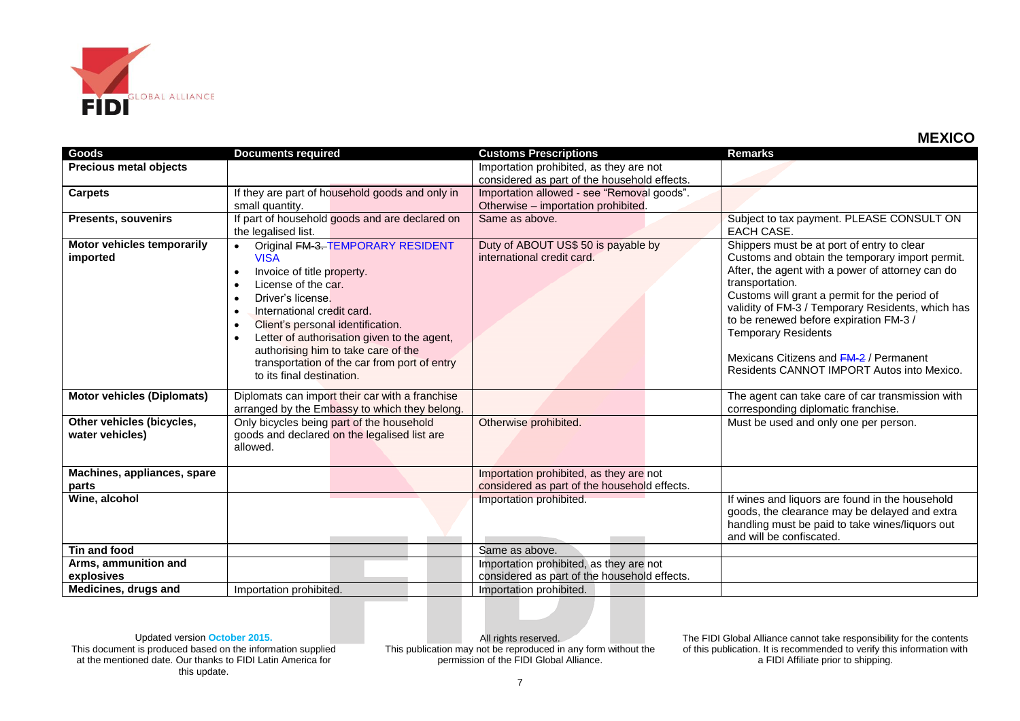

| Goods                                        | <b>Documents required</b>                                                                                                                                                                                                                                                                                                                                                                                                                     | <b>Customs Prescriptions</b>                                                            | <b>Remarks</b>                                                                                                                                                                                                                                                                                                                                                                                                                             |
|----------------------------------------------|-----------------------------------------------------------------------------------------------------------------------------------------------------------------------------------------------------------------------------------------------------------------------------------------------------------------------------------------------------------------------------------------------------------------------------------------------|-----------------------------------------------------------------------------------------|--------------------------------------------------------------------------------------------------------------------------------------------------------------------------------------------------------------------------------------------------------------------------------------------------------------------------------------------------------------------------------------------------------------------------------------------|
| <b>Precious metal objects</b>                |                                                                                                                                                                                                                                                                                                                                                                                                                                               | Importation prohibited, as they are not<br>considered as part of the household effects. |                                                                                                                                                                                                                                                                                                                                                                                                                                            |
| <b>Carpets</b>                               | If they are part of household goods and only in<br>small quantity.                                                                                                                                                                                                                                                                                                                                                                            | Importation allowed - see "Removal goods".<br>Otherwise - importation prohibited.       |                                                                                                                                                                                                                                                                                                                                                                                                                                            |
| <b>Presents, souvenirs</b>                   | If part of household goods and are declared on<br>the legalised list.                                                                                                                                                                                                                                                                                                                                                                         | Same as above.                                                                          | Subject to tax payment. PLEASE CONSULT ON<br>EACH CASE.                                                                                                                                                                                                                                                                                                                                                                                    |
| Motor vehicles temporarily<br>imported       | Original FM-3-TEMPORARY RESIDENT<br>$\bullet$<br><b>VISA</b><br>Invoice of title property.<br>$\bullet$<br>License of the car.<br>$\bullet$<br>Driver's license.<br>$\bullet$<br>International credit card.<br>$\bullet$<br>Client's personal identification.<br>$\bullet$<br>Letter of authorisation given to the agent,<br>authorising him to take care of the<br>transportation of the car from port of entry<br>to its final destination. | Duty of ABOUT US\$ 50 is payable by<br>international credit card.                       | Shippers must be at port of entry to clear<br>Customs and obtain the temporary import permit.<br>After, the agent with a power of attorney can do<br>transportation.<br>Customs will grant a permit for the period of<br>validity of FM-3 / Temporary Residents, which has<br>to be renewed before expiration FM-3 /<br><b>Temporary Residents</b><br>Mexicans Citizens and FM-2 / Permanent<br>Residents CANNOT IMPORT Autos into Mexico. |
| <b>Motor vehicles (Diplomats)</b>            | Diplomats can import their car with a franchise<br>arranged by the Embassy to which they belong.                                                                                                                                                                                                                                                                                                                                              |                                                                                         | The agent can take care of car transmission with<br>corresponding diplomatic franchise.                                                                                                                                                                                                                                                                                                                                                    |
| Other vehicles (bicycles,<br>water vehicles) | Only bicycles being part of the household<br>goods and declared on the legalised list are<br>allowed.                                                                                                                                                                                                                                                                                                                                         | Otherwise prohibited.                                                                   | Must be used and only one per person.                                                                                                                                                                                                                                                                                                                                                                                                      |
| Machines, appliances, spare<br>parts         |                                                                                                                                                                                                                                                                                                                                                                                                                                               | Importation prohibited, as they are not<br>considered as part of the household effects. |                                                                                                                                                                                                                                                                                                                                                                                                                                            |
| Wine, alcohol                                |                                                                                                                                                                                                                                                                                                                                                                                                                                               | Importation prohibited.                                                                 | If wines and liquors are found in the household<br>goods, the clearance may be delayed and extra<br>handling must be paid to take wines/liquors out<br>and will be confiscated.                                                                                                                                                                                                                                                            |
| Tin and food                                 |                                                                                                                                                                                                                                                                                                                                                                                                                                               | Same as above.                                                                          |                                                                                                                                                                                                                                                                                                                                                                                                                                            |
| Arms, ammunition and<br>explosives           |                                                                                                                                                                                                                                                                                                                                                                                                                                               | Importation prohibited, as they are not<br>considered as part of the household effects. |                                                                                                                                                                                                                                                                                                                                                                                                                                            |
| Medicines, drugs and                         | Importation prohibited.                                                                                                                                                                                                                                                                                                                                                                                                                       | Importation prohibited.                                                                 |                                                                                                                                                                                                                                                                                                                                                                                                                                            |

Updated version **October 2015.** This document is produced based on the information supplied at the mentioned date. Our thanks to FIDI Latin America for this update.

All rights reserved. This publication may not be reproduced in any form without the permission of the FIDI Global Alliance.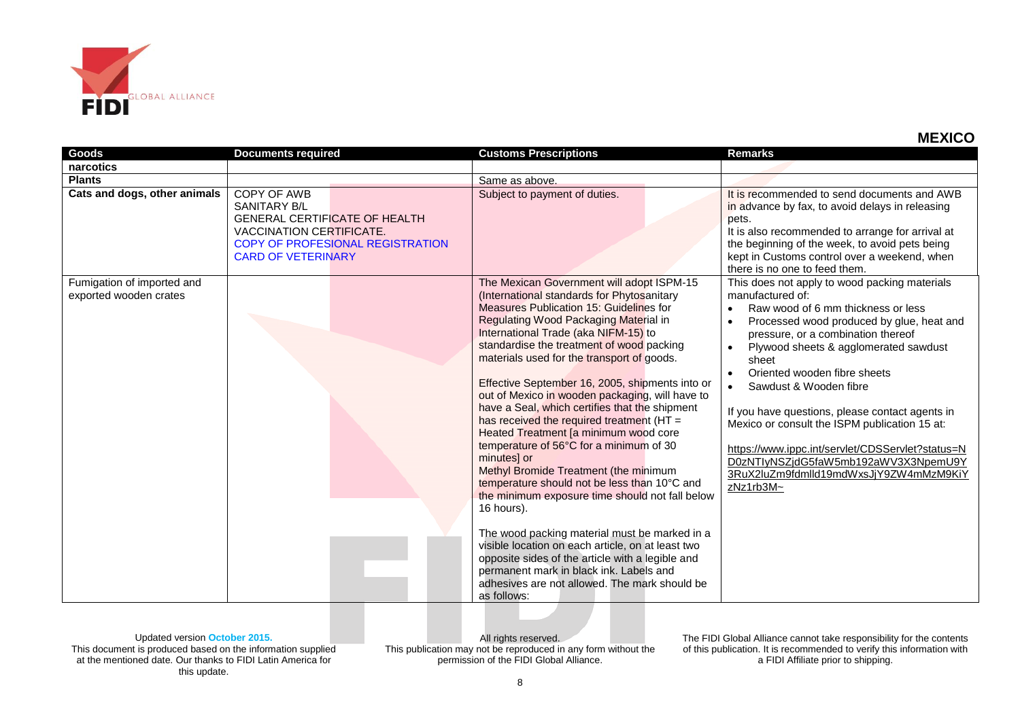

| Goods                                                | <b>Documents required</b>                                                                                                                                        | <b>Customs Prescriptions</b>                                                                                                                                                                                                                                                                                                                                                                                                                                                                                                                                                                                                                                                                                                                                                                                                                                                                                                                                                                                                                             | <b>Remarks</b>                                                                                                                                                                                                                                                                                                                                                                                                                                                                                                                                                                                                    |
|------------------------------------------------------|------------------------------------------------------------------------------------------------------------------------------------------------------------------|----------------------------------------------------------------------------------------------------------------------------------------------------------------------------------------------------------------------------------------------------------------------------------------------------------------------------------------------------------------------------------------------------------------------------------------------------------------------------------------------------------------------------------------------------------------------------------------------------------------------------------------------------------------------------------------------------------------------------------------------------------------------------------------------------------------------------------------------------------------------------------------------------------------------------------------------------------------------------------------------------------------------------------------------------------|-------------------------------------------------------------------------------------------------------------------------------------------------------------------------------------------------------------------------------------------------------------------------------------------------------------------------------------------------------------------------------------------------------------------------------------------------------------------------------------------------------------------------------------------------------------------------------------------------------------------|
| narcotics                                            |                                                                                                                                                                  |                                                                                                                                                                                                                                                                                                                                                                                                                                                                                                                                                                                                                                                                                                                                                                                                                                                                                                                                                                                                                                                          |                                                                                                                                                                                                                                                                                                                                                                                                                                                                                                                                                                                                                   |
| <b>Plants</b>                                        |                                                                                                                                                                  | Same as above.                                                                                                                                                                                                                                                                                                                                                                                                                                                                                                                                                                                                                                                                                                                                                                                                                                                                                                                                                                                                                                           |                                                                                                                                                                                                                                                                                                                                                                                                                                                                                                                                                                                                                   |
| Cats and dogs, other animals                         | COPY OF AWB<br>SANITARY B/L<br><b>GENERAL CERTIFICATE OF HEALTH</b><br>VACCINATION CERTIFICATE.<br>COPY OF PROFESIONAL REGISTRATION<br><b>CARD OF VETERINARY</b> | Subject to payment of duties.                                                                                                                                                                                                                                                                                                                                                                                                                                                                                                                                                                                                                                                                                                                                                                                                                                                                                                                                                                                                                            | It is recommended to send documents and AWB<br>in advance by fax, to avoid delays in releasing<br>pets.<br>It is also recommended to arrange for arrival at<br>the beginning of the week, to avoid pets being<br>kept in Customs control over a weekend, when<br>there is no one to feed them.                                                                                                                                                                                                                                                                                                                    |
| Fumigation of imported and<br>exported wooden crates |                                                                                                                                                                  | The Mexican Government will adopt ISPM-15<br>(International standards for Phytosanitary<br>Measures Publication 15: Guidelines for<br>Regulating Wood Packaging Material in<br>International Trade (aka NIFM-15) to<br>standardise the treatment of wood packing<br>materials used for the transport of goods.<br>Effective September 16, 2005, shipments into or<br>out of Mexico in wooden packaging, will have to<br>have a Seal, which certifies that the shipment<br>has received the required treatment ( $HT =$<br>Heated Treatment [a minimum wood core<br>temperature of 56°C for a minimum of 30<br>minutes] or<br>Methyl Bromide Treatment (the minimum<br>temperature should not be less than 10°C and<br>the minimum exposure time should not fall below<br>16 hours).<br>The wood packing material must be marked in a<br>visible location on each article, on at least two<br>opposite sides of the article with a legible and<br>permanent mark in black ink. Labels and<br>adhesives are not allowed. The mark should be<br>as follows: | This does not apply to wood packing materials<br>manufactured of:<br>Raw wood of 6 mm thickness or less<br>$\bullet$<br>Processed wood produced by glue, heat and<br>pressure, or a combination thereof<br>Plywood sheets & agglomerated sawdust<br>$\bullet$<br>sheet<br>Oriented wooden fibre sheets<br>$\bullet$<br>Sawdust & Wooden fibre<br>$\bullet$<br>If you have questions, please contact agents in<br>Mexico or consult the ISPM publication 15 at:<br>https://www.ippc.int/servlet/CDSServlet?status=N<br>D0zNTIyNSZjdG5faW5mb192aWV3X3NpemU9Y<br>3RuX2luZm9fdmlld19mdWxsJjY9ZW4mMzM9KiY<br>zNz1rb3M~ |

Updated version **October 2015.** This document is produced based on the information supplied at the mentioned date. Our thanks to FIDI Latin America for this update.

All rights reserved. This publication may not be reproduced in any form without the permission of the FIDI Global Alliance.